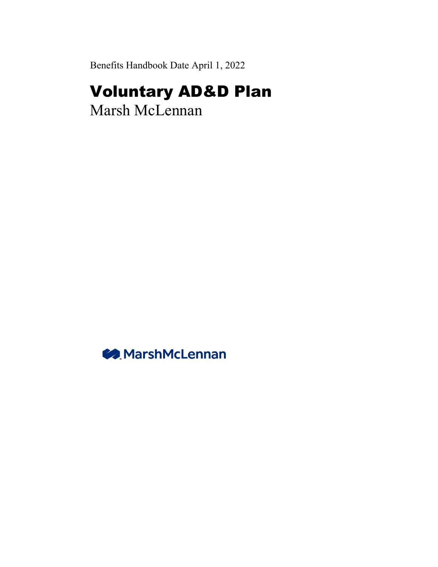Benefits Handbook Date April 1, 2022

# Voluntary AD&D Plan

Marsh McLennan

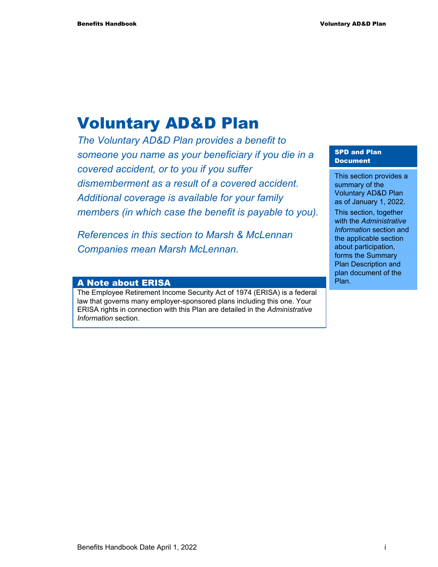# Voluntary AD&D Plan

*The Voluntary AD&D Plan provides a benefit to someone you name as your beneficiary if you die in a covered accident, or to you if you suffer dismemberment as a result of a covered accident. Additional coverage is available for your family members (in which case the benefit is payable to you).* 

*References in this section to Marsh & McLennan Companies mean Marsh McLennan.* 

#### A Note about ERISA Plan.

The Employee Retirement Income Security Act of 1974 (ERISA) is a federal law that governs many employer-sponsored plans including this one. Your ERISA rights in connection with this Plan are detailed in the *Administrative Information* section.

#### SPD and Plan Document

This section provides a summary of the Voluntary AD&D Plan as of January 1, 2022.

This section, together with the *Administrative Information* section and the applicable section about participation, forms the Summary Plan Description and plan document of the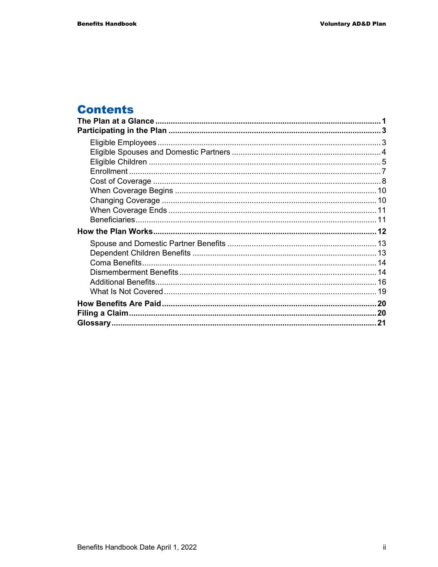# **Contents**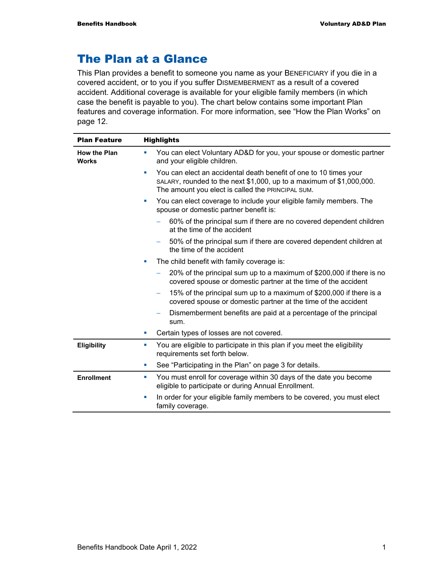# The Plan at a Glance

This Plan provides a benefit to someone you name as your BENEFICIARY if you die in a covered accident, or to you if you suffer DISMEMBERMENT as a result of a covered accident. Additional coverage is available for your eligible family members (in which case the benefit is payable to you). The chart below contains some important Plan features and coverage information. For more information, see "How the Plan Works" on page 12.

| <b>Plan Feature</b>                 | <b>Highlights</b>                                                                                                                                                                                   |
|-------------------------------------|-----------------------------------------------------------------------------------------------------------------------------------------------------------------------------------------------------|
| <b>How the Plan</b><br><b>Works</b> | You can elect Voluntary AD&D for you, your spouse or domestic partner<br>×.<br>and your eligible children.                                                                                          |
|                                     | You can elect an accidental death benefit of one to 10 times your<br>п<br>SALARY, rounded to the next \$1,000, up to a maximum of \$1,000,000.<br>The amount you elect is called the PRINCIPAL SUM. |
|                                     | You can elect coverage to include your eligible family members. The<br>u.<br>spouse or domestic partner benefit is:                                                                                 |
|                                     | 60% of the principal sum if there are no covered dependent children<br>at the time of the accident                                                                                                  |
|                                     | 50% of the principal sum if there are covered dependent children at<br>the time of the accident                                                                                                     |
|                                     | The child benefit with family coverage is:<br>×                                                                                                                                                     |
|                                     | 20% of the principal sum up to a maximum of \$200,000 if there is no<br>covered spouse or domestic partner at the time of the accident                                                              |
|                                     | 15% of the principal sum up to a maximum of \$200,000 if there is a<br>covered spouse or domestic partner at the time of the accident                                                               |
|                                     | Dismemberment benefits are paid at a percentage of the principal<br>sum.                                                                                                                            |
|                                     | Certain types of losses are not covered.<br>×                                                                                                                                                       |
| <b>Eligibility</b>                  | You are eligible to participate in this plan if you meet the eligibility<br>×<br>requirements set forth below.                                                                                      |
|                                     | See "Participating in the Plan" on page 3 for details.<br>u.                                                                                                                                        |
| <b>Enrollment</b>                   | You must enroll for coverage within 30 days of the date you become<br>×<br>eligible to participate or during Annual Enrollment.                                                                     |
|                                     | In order for your eligible family members to be covered, you must elect<br>×<br>family coverage.                                                                                                    |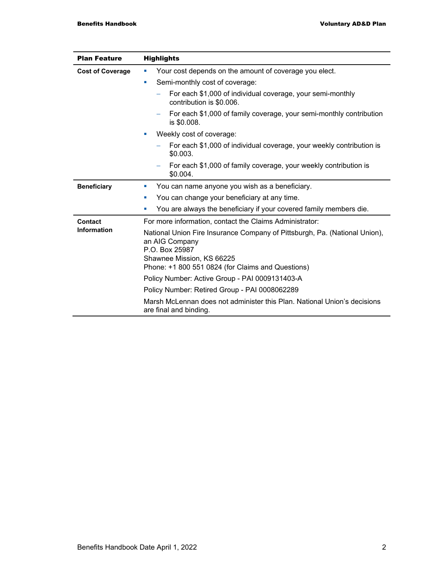| <b>Plan Feature</b>     | <b>Highlights</b>                                                                                                                                                                                |
|-------------------------|--------------------------------------------------------------------------------------------------------------------------------------------------------------------------------------------------|
| <b>Cost of Coverage</b> | Your cost depends on the amount of coverage you elect.<br>ш                                                                                                                                      |
|                         | Semi-monthly cost of coverage:<br>×                                                                                                                                                              |
|                         | For each \$1,000 of individual coverage, your semi-monthly<br>contribution is \$0.006.                                                                                                           |
|                         | For each \$1,000 of family coverage, your semi-monthly contribution<br>-<br>is \$0.008.                                                                                                          |
|                         | Weekly cost of coverage:<br>u,                                                                                                                                                                   |
|                         | For each \$1,000 of individual coverage, your weekly contribution is<br>\$0.003.                                                                                                                 |
|                         | For each \$1,000 of family coverage, your weekly contribution is<br>\$0.004.                                                                                                                     |
| <b>Beneficiary</b>      | You can name anyone you wish as a beneficiary.<br>u,                                                                                                                                             |
|                         | You can change your beneficiary at any time.<br>o,                                                                                                                                               |
|                         | You are always the beneficiary if your covered family members die.<br>×                                                                                                                          |
| Contact                 | For more information, contact the Claims Administrator:                                                                                                                                          |
| <b>Information</b>      | National Union Fire Insurance Company of Pittsburgh, Pa. (National Union),<br>an AIG Company<br>P.O. Box 25987<br>Shawnee Mission, KS 66225<br>Phone: +1 800 551 0824 (for Claims and Questions) |
|                         | Policy Number: Active Group - PAI 0009131403-A                                                                                                                                                   |
|                         | Policy Number: Retired Group - PAI 0008062289                                                                                                                                                    |
|                         | Marsh McLennan does not administer this Plan. National Union's decisions<br>are final and binding.                                                                                               |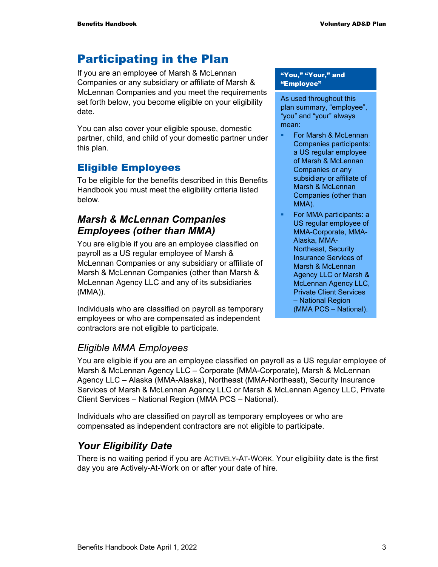# Participating in the Plan

If you are an employee of Marsh & McLennan Companies or any subsidiary or affiliate of Marsh & McLennan Companies and you meet the requirements set forth below, you become eligible on your eligibility date.

You can also cover your eligible spouse, domestic partner, child, and child of your domestic partner under this plan.

# Eligible Employees

To be eligible for the benefits described in this Benefits Handbook you must meet the eligibility criteria listed below.

### *Marsh & McLennan Companies Employees (other than MMA)*

You are eligible if you are an employee classified on payroll as a US regular employee of Marsh & McLennan Companies or any subsidiary or affiliate of Marsh & McLennan Companies (other than Marsh & McLennan Agency LLC and any of its subsidiaries (MMA)).

Individuals who are classified on payroll as temporary employees or who are compensated as independent contractors are not eligible to participate.

#### "You," "Your," and "Employee"

As used throughout this plan summary, "employee", "you" and "your" always mean:

- For Marsh & McLennan Companies participants: a US regular employee of Marsh & McLennan Companies or any subsidiary or affiliate of Marsh & McLennan Companies (other than MMA).
- For MMA participants: a US regular employee of MMA-Corporate, MMA-Alaska, MMA-Northeast, Security Insurance Services of Marsh & McLennan Agency LLC or Marsh & McLennan Agency LLC, Private Client Services – National Region (MMA PCS – National).

# *Eligible MMA Employees*

You are eligible if you are an employee classified on payroll as a US regular employee of Marsh & McLennan Agency LLC – Corporate (MMA-Corporate), Marsh & McLennan Agency LLC – Alaska (MMA-Alaska), Northeast (MMA-Northeast), Security Insurance Services of Marsh & McLennan Agency LLC or Marsh & McLennan Agency LLC, Private Client Services – National Region (MMA PCS – National).

Individuals who are classified on payroll as temporary employees or who are compensated as independent contractors are not eligible to participate.

# *Your Eligibility Date*

There is no waiting period if you are ACTIVELY-AT-WORK. Your eligibility date is the first day you are Actively-At-Work on or after your date of hire.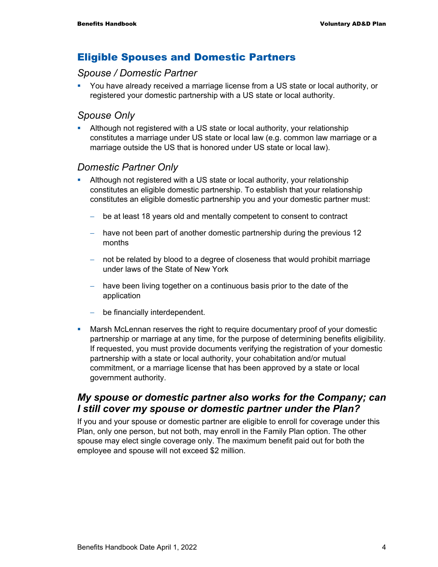#### Eligible Spouses and Domestic Partners

#### *Spouse / Domestic Partner*

 You have already received a marriage license from a US state or local authority, or registered your domestic partnership with a US state or local authority.

#### *Spouse Only*

 Although not registered with a US state or local authority, your relationship constitutes a marriage under US state or local law (e.g. common law marriage or a marriage outside the US that is honored under US state or local law).

#### *Domestic Partner Only*

- Although not registered with a US state or local authority, your relationship constitutes an eligible domestic partnership. To establish that your relationship constitutes an eligible domestic partnership you and your domestic partner must:
	- − be at least 18 years old and mentally competent to consent to contract
	- − have not been part of another domestic partnership during the previous 12 months
	- − not be related by blood to a degree of closeness that would prohibit marriage under laws of the State of New York
	- − have been living together on a continuous basis prior to the date of the application
	- − be financially interdependent.
- Marsh McLennan reserves the right to require documentary proof of your domestic partnership or marriage at any time, for the purpose of determining benefits eligibility. If requested, you must provide documents verifying the registration of your domestic partnership with a state or local authority, your cohabitation and/or mutual commitment, or a marriage license that has been approved by a state or local government authority.

### *My spouse or domestic partner also works for the Company; can I still cover my spouse or domestic partner under the Plan?*

If you and your spouse or domestic partner are eligible to enroll for coverage under this Plan, only one person, but not both, may enroll in the Family Plan option. The other spouse may elect single coverage only. The maximum benefit paid out for both the employee and spouse will not exceed \$2 million.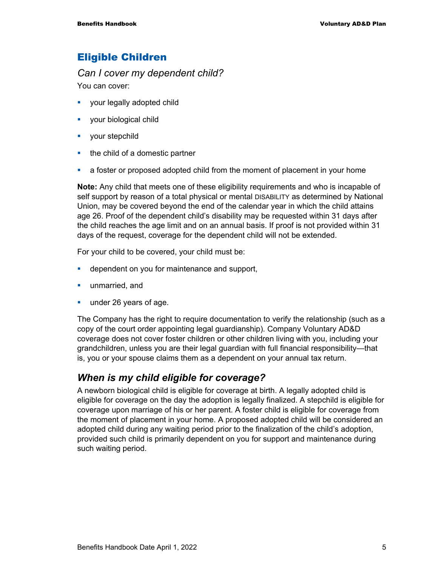# Eligible Children

#### *Can I cover my dependent child?*

You can cover:

- your legally adopted child
- **vour biological child**
- **vour stepchild**
- $\blacksquare$  the child of a domestic partner
- a foster or proposed adopted child from the moment of placement in your home

**Note:** Any child that meets one of these eligibility requirements and who is incapable of self support by reason of a total physical or mental DISABILITY as determined by National Union, may be covered beyond the end of the calendar year in which the child attains age 26. Proof of the dependent child's disability may be requested within 31 days after the child reaches the age limit and on an annual basis. If proof is not provided within 31 days of the request, coverage for the dependent child will not be extended.

For your child to be covered, your child must be:

- **dependent on you for maintenance and support,**
- **unmarried, and**
- **under 26 years of age.**

The Company has the right to require documentation to verify the relationship (such as a copy of the court order appointing legal guardianship). Company Voluntary AD&D coverage does not cover foster children or other children living with you, including your grandchildren, unless you are their legal guardian with full financial responsibility—that is, you or your spouse claims them as a dependent on your annual tax return.

### *When is my child eligible for coverage?*

A newborn biological child is eligible for coverage at birth. A legally adopted child is eligible for coverage on the day the adoption is legally finalized. A stepchild is eligible for coverage upon marriage of his or her parent. A foster child is eligible for coverage from the moment of placement in your home. A proposed adopted child will be considered an adopted child during any waiting period prior to the finalization of the child's adoption, provided such child is primarily dependent on you for support and maintenance during such waiting period.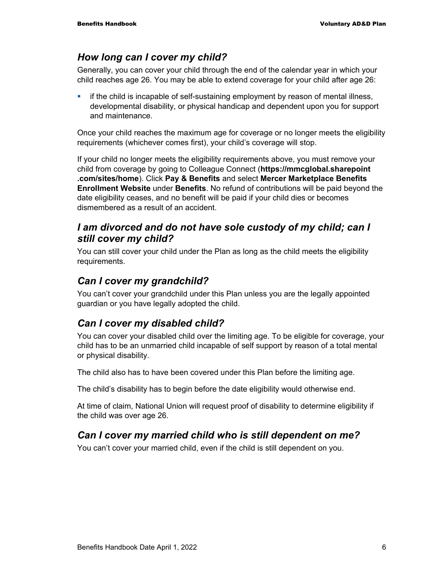### *How long can I cover my child?*

Generally, you can cover your child through the end of the calendar year in which your child reaches age 26. You may be able to extend coverage for your child after age 26:

**F** if the child is incapable of self-sustaining employment by reason of mental illness, developmental disability, or physical handicap and dependent upon you for support and maintenance.

Once your child reaches the maximum age for coverage or no longer meets the eligibility requirements (whichever comes first), your child's coverage will stop.

If your child no longer meets the eligibility requirements above, you must remove your child from coverage by going to Colleague Connect (**https://mmcglobal.sharepoint .com/sites/home**). Click **Pay & Benefits** and select **Mercer Marketplace Benefits Enrollment Website** under **Benefits**. No refund of contributions will be paid beyond the date eligibility ceases, and no benefit will be paid if your child dies or becomes dismembered as a result of an accident.

#### *I am divorced and do not have sole custody of my child; can I still cover my child?*

You can still cover your child under the Plan as long as the child meets the eligibility requirements.

### *Can I cover my grandchild?*

You can't cover your grandchild under this Plan unless you are the legally appointed guardian or you have legally adopted the child.

### *Can I cover my disabled child?*

You can cover your disabled child over the limiting age. To be eligible for coverage, your child has to be an unmarried child incapable of self support by reason of a total mental or physical disability.

The child also has to have been covered under this Plan before the limiting age.

The child's disability has to begin before the date eligibility would otherwise end.

At time of claim, National Union will request proof of disability to determine eligibility if the child was over age 26.

### *Can I cover my married child who is still dependent on me?*

You can't cover your married child, even if the child is still dependent on you.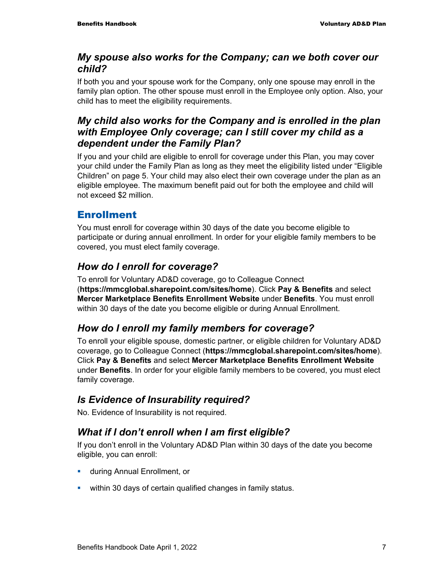#### *My spouse also works for the Company; can we both cover our child?*

If both you and your spouse work for the Company, only one spouse may enroll in the family plan option. The other spouse must enroll in the Employee only option. Also, your child has to meet the eligibility requirements.

## *My child also works for the Company and is enrolled in the plan with Employee Only coverage; can I still cover my child as a dependent under the Family Plan?*

If you and your child are eligible to enroll for coverage under this Plan, you may cover your child under the Family Plan as long as they meet the eligibility listed under "Eligible Children" on page 5. Your child may also elect their own coverage under the plan as an eligible employee. The maximum benefit paid out for both the employee and child will not exceed \$2 million.

# Enrollment

You must enroll for coverage within 30 days of the date you become eligible to participate or during annual enrollment. In order for your eligible family members to be covered, you must elect family coverage.

# *How do I enroll for coverage?*

To enroll for Voluntary AD&D coverage, go to Colleague Connect (**https://mmcglobal.sharepoint.com/sites/home**). Click **Pay & Benefits** and select **Mercer Marketplace Benefits Enrollment Website** under **Benefits**. You must enroll within 30 days of the date you become eligible or during Annual Enrollment.

# *How do I enroll my family members for coverage?*

To enroll your eligible spouse, domestic partner, or eligible children for Voluntary AD&D coverage, go to Colleague Connect (**https://mmcglobal.sharepoint.com/sites/home**). Click **Pay & Benefits** and select **Mercer Marketplace Benefits Enrollment Website** under **Benefits**. In order for your eligible family members to be covered, you must elect family coverage.

# *Is Evidence of Insurability required?*

No. Evidence of Insurability is not required.

# *What if I don't enroll when I am first eligible?*

If you don't enroll in the Voluntary AD&D Plan within 30 days of the date you become eligible, you can enroll:

- **u.** during Annual Enrollment, or
- **•** within 30 days of certain qualified changes in family status.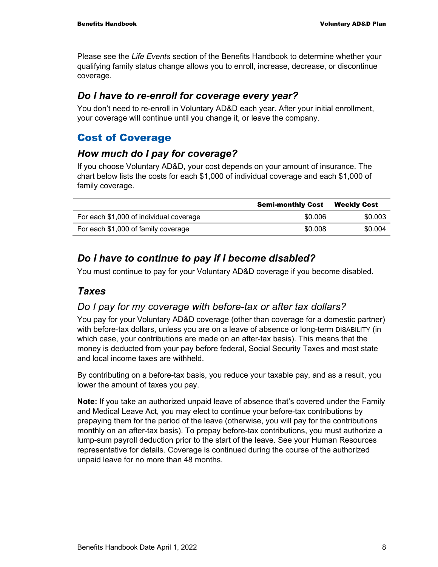Please see the *Life Events* section of the Benefits Handbook to determine whether your qualifying family status change allows you to enroll, increase, decrease, or discontinue coverage.

#### *Do I have to re-enroll for coverage every year?*

You don't need to re-enroll in Voluntary AD&D each year. After your initial enrollment, your coverage will continue until you change it, or leave the company.

### Cost of Coverage

#### *How much do I pay for coverage?*

If you choose Voluntary AD&D, your cost depends on your amount of insurance. The chart below lists the costs for each \$1,000 of individual coverage and each \$1,000 of family coverage.

|                                         | <b>Semi-monthly Cost</b> | <b>Weekly Cost</b> |
|-----------------------------------------|--------------------------|--------------------|
| For each \$1,000 of individual coverage | \$0,006                  | \$0.003            |
| For each \$1,000 of family coverage     | \$0,008                  | \$0.004            |

### *Do I have to continue to pay if I become disabled?*

You must continue to pay for your Voluntary AD&D coverage if you become disabled.

### *Taxes*

#### *Do I pay for my coverage with before-tax or after tax dollars?*

You pay for your Voluntary AD&D coverage (other than coverage for a domestic partner) with before-tax dollars, unless you are on a leave of absence or long-term DISABILITY (in which case, your contributions are made on an after-tax basis). This means that the money is deducted from your pay before federal, Social Security Taxes and most state and local income taxes are withheld.

By contributing on a before-tax basis, you reduce your taxable pay, and as a result, you lower the amount of taxes you pay.

**Note:** If you take an authorized unpaid leave of absence that's covered under the Family and Medical Leave Act, you may elect to continue your before-tax contributions by prepaying them for the period of the leave (otherwise, you will pay for the contributions monthly on an after-tax basis). To prepay before-tax contributions, you must authorize a lump-sum payroll deduction prior to the start of the leave. See your Human Resources representative for details. Coverage is continued during the course of the authorized unpaid leave for no more than 48 months.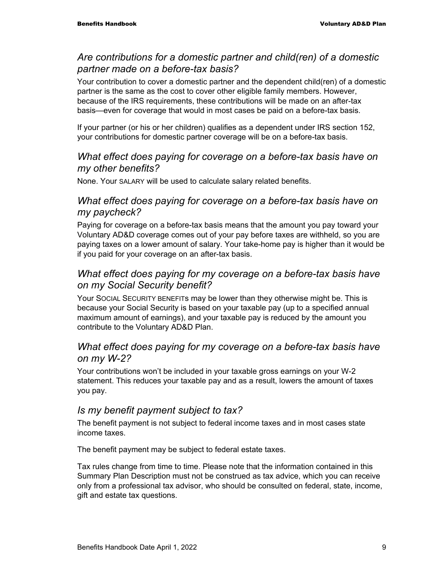#### *Are contributions for a domestic partner and child(ren) of a domestic partner made on a before-tax basis?*

Your contribution to cover a domestic partner and the dependent child(ren) of a domestic partner is the same as the cost to cover other eligible family members. However, because of the IRS requirements, these contributions will be made on an after-tax basis—even for coverage that would in most cases be paid on a before-tax basis.

If your partner (or his or her children) qualifies as a dependent under IRS section 152, your contributions for domestic partner coverage will be on a before-tax basis.

### *What effect does paying for coverage on a before-tax basis have on my other benefits?*

None. Your SALARY will be used to calculate salary related benefits.

### *What effect does paying for coverage on a before-tax basis have on my paycheck?*

Paying for coverage on a before-tax basis means that the amount you pay toward your Voluntary AD&D coverage comes out of your pay before taxes are withheld, so you are paying taxes on a lower amount of salary. Your take-home pay is higher than it would be if you paid for your coverage on an after-tax basis.

### *What effect does paying for my coverage on a before-tax basis have on my Social Security benefit?*

Your SOCIAL SECURITY BENEFITs may be lower than they otherwise might be. This is because your Social Security is based on your taxable pay (up to a specified annual maximum amount of earnings), and your taxable pay is reduced by the amount you contribute to the Voluntary AD&D Plan.

### *What effect does paying for my coverage on a before-tax basis have on my W-2?*

Your contributions won't be included in your taxable gross earnings on your W-2 statement. This reduces your taxable pay and as a result, lowers the amount of taxes you pay.

### *Is my benefit payment subject to tax?*

The benefit payment is not subject to federal income taxes and in most cases state income taxes.

The benefit payment may be subject to federal estate taxes.

Tax rules change from time to time. Please note that the information contained in this Summary Plan Description must not be construed as tax advice, which you can receive only from a professional tax advisor, who should be consulted on federal, state, income, gift and estate tax questions.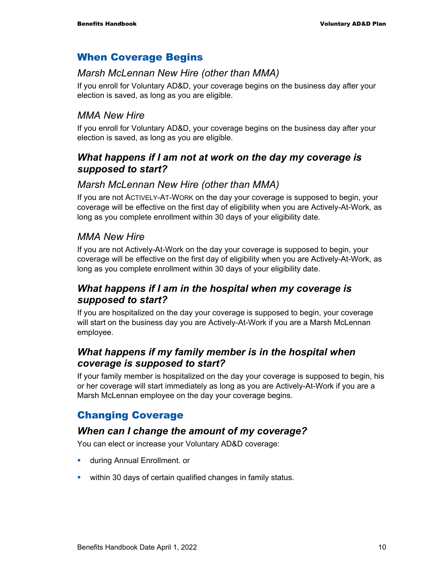### When Coverage Begins

#### *Marsh McLennan New Hire (other than MMA)*

If you enroll for Voluntary AD&D, your coverage begins on the business day after your election is saved, as long as you are eligible.

#### *MMA New Hire*

If you enroll for Voluntary AD&D, your coverage begins on the business day after your election is saved, as long as you are eligible.

#### *What happens if I am not at work on the day my coverage is supposed to start?*

#### *Marsh McLennan New Hire (other than MMA)*

If you are not ACTIVELY-AT-WORK on the day your coverage is supposed to begin, your coverage will be effective on the first day of eligibility when you are Actively-At-Work, as long as you complete enrollment within 30 days of your eligibility date.

#### *MMA New Hire*

If you are not Actively-At-Work on the day your coverage is supposed to begin, your coverage will be effective on the first day of eligibility when you are Actively-At-Work, as long as you complete enrollment within 30 days of your eligibility date.

#### *What happens if I am in the hospital when my coverage is supposed to start?*

If you are hospitalized on the day your coverage is supposed to begin, your coverage will start on the business day you are Actively-At-Work if you are a Marsh McLennan employee.

#### *What happens if my family member is in the hospital when coverage is supposed to start?*

If your family member is hospitalized on the day your coverage is supposed to begin, his or her coverage will start immediately as long as you are Actively-At-Work if you are a Marsh McLennan employee on the day your coverage begins.

# Changing Coverage

### *When can I change the amount of my coverage?*

You can elect or increase your Voluntary AD&D coverage:

- **u.** during Annual Enrollment. or
- **E** within 30 days of certain qualified changes in family status.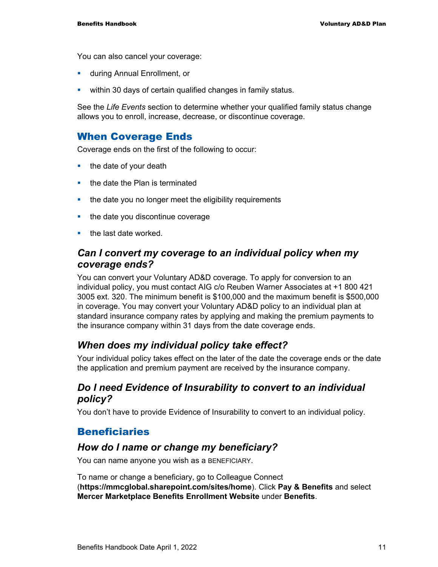You can also cancel your coverage:

- **EXECUTE:** during Annual Enrollment, or
- **•** within 30 days of certain qualified changes in family status.

See the *Life Events* section to determine whether your qualified family status change allows you to enroll, increase, decrease, or discontinue coverage.

#### When Coverage Ends

Coverage ends on the first of the following to occur:

- $\blacksquare$  the date of your death
- $\blacksquare$  the date the Plan is terminated
- the date you no longer meet the eligibility requirements
- the date you discontinue coverage
- $\blacksquare$  the last date worked.

#### *Can I convert my coverage to an individual policy when my coverage ends?*

You can convert your Voluntary AD&D coverage. To apply for conversion to an individual policy, you must contact AIG c/o Reuben Warner Associates at +1 800 421 3005 ext. 320. The minimum benefit is \$100,000 and the maximum benefit is \$500,000 in coverage. You may convert your Voluntary AD&D policy to an individual plan at standard insurance company rates by applying and making the premium payments to the insurance company within 31 days from the date coverage ends.

#### *When does my individual policy take effect?*

Your individual policy takes effect on the later of the date the coverage ends or the date the application and premium payment are received by the insurance company.

#### *Do I need Evidence of Insurability to convert to an individual policy?*

You don't have to provide Evidence of Insurability to convert to an individual policy.

#### Beneficiaries

#### *How do I name or change my beneficiary?*

You can name anyone you wish as a BENEFICIARY.

To name or change a beneficiary, go to Colleague Connect (**https://mmcglobal.sharepoint.com/sites/home**). Click **Pay & Benefits** and select **Mercer Marketplace Benefits Enrollment Website** under **Benefits**.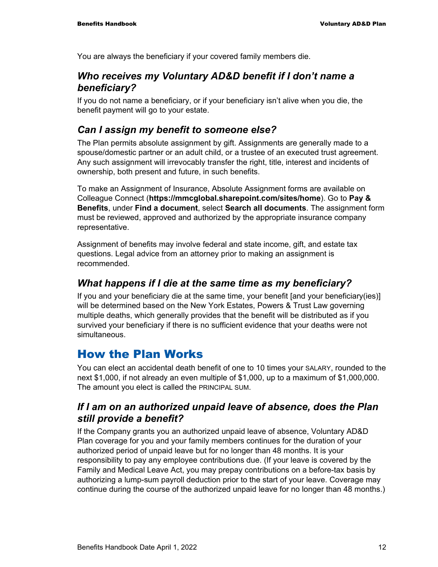You are always the beneficiary if your covered family members die.

#### *Who receives my Voluntary AD&D benefit if I don't name a beneficiary?*

If you do not name a beneficiary, or if your beneficiary isn't alive when you die, the benefit payment will go to your estate.

#### *Can I assign my benefit to someone else?*

The Plan permits absolute assignment by gift. Assignments are generally made to a spouse/domestic partner or an adult child, or a trustee of an executed trust agreement. Any such assignment will irrevocably transfer the right, title, interest and incidents of ownership, both present and future, in such benefits.

To make an Assignment of Insurance, Absolute Assignment forms are available on Colleague Connect (**https://mmcglobal.sharepoint.com/sites/home**). Go to **Pay & Benefits**, under **Find a document**, select **Search all documents**. The assignment form must be reviewed, approved and authorized by the appropriate insurance company representative.

Assignment of benefits may involve federal and state income, gift, and estate tax questions. Legal advice from an attorney prior to making an assignment is recommended.

#### *What happens if I die at the same time as my beneficiary?*

If you and your beneficiary die at the same time, your benefit [and your beneficiary(ies)] will be determined based on the New York Estates, Powers & Trust Law governing multiple deaths, which generally provides that the benefit will be distributed as if you survived your beneficiary if there is no sufficient evidence that your deaths were not simultaneous.

# How the Plan Works

You can elect an accidental death benefit of one to 10 times your SALARY, rounded to the next \$1,000, if not already an even multiple of \$1,000, up to a maximum of \$1,000,000. The amount you elect is called the PRINCIPAL SUM.

#### *If I am on an authorized unpaid leave of absence, does the Plan still provide a benefit?*

If the Company grants you an authorized unpaid leave of absence, Voluntary AD&D Plan coverage for you and your family members continues for the duration of your authorized period of unpaid leave but for no longer than 48 months. It is your responsibility to pay any employee contributions due. (If your leave is covered by the Family and Medical Leave Act, you may prepay contributions on a before-tax basis by authorizing a lump-sum payroll deduction prior to the start of your leave. Coverage may continue during the course of the authorized unpaid leave for no longer than 48 months.)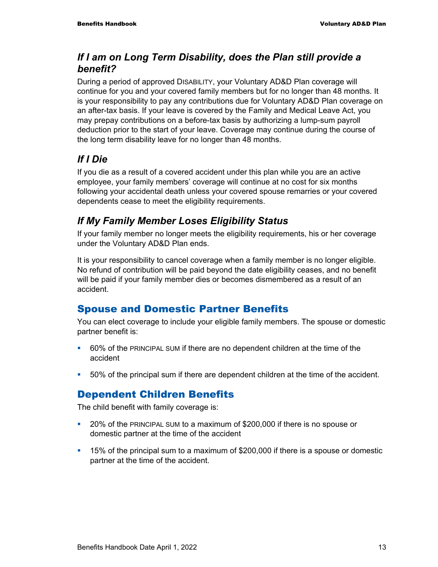### *If I am on Long Term Disability, does the Plan still provide a benefit?*

During a period of approved DISABILITY, your Voluntary AD&D Plan coverage will continue for you and your covered family members but for no longer than 48 months. It is your responsibility to pay any contributions due for Voluntary AD&D Plan coverage on an after-tax basis. If your leave is covered by the Family and Medical Leave Act, you may prepay contributions on a before-tax basis by authorizing a lump-sum payroll deduction prior to the start of your leave. Coverage may continue during the course of the long term disability leave for no longer than 48 months.

# *If I Die*

If you die as a result of a covered accident under this plan while you are an active employee, your family members' coverage will continue at no cost for six months following your accidental death unless your covered spouse remarries or your covered dependents cease to meet the eligibility requirements.

# *If My Family Member Loses Eligibility Status*

If your family member no longer meets the eligibility requirements, his or her coverage under the Voluntary AD&D Plan ends.

It is your responsibility to cancel coverage when a family member is no longer eligible. No refund of contribution will be paid beyond the date eligibility ceases, and no benefit will be paid if your family member dies or becomes dismembered as a result of an accident.

### Spouse and Domestic Partner Benefits

You can elect coverage to include your eligible family members. The spouse or domestic partner benefit is:

- 60% of the PRINCIPAL SUM if there are no dependent children at the time of the accident
- 50% of the principal sum if there are dependent children at the time of the accident.

# Dependent Children Benefits

The child benefit with family coverage is:

- 20% of the PRINCIPAL SUM to a maximum of \$200,000 if there is no spouse or domestic partner at the time of the accident
- 15% of the principal sum to a maximum of \$200,000 if there is a spouse or domestic partner at the time of the accident.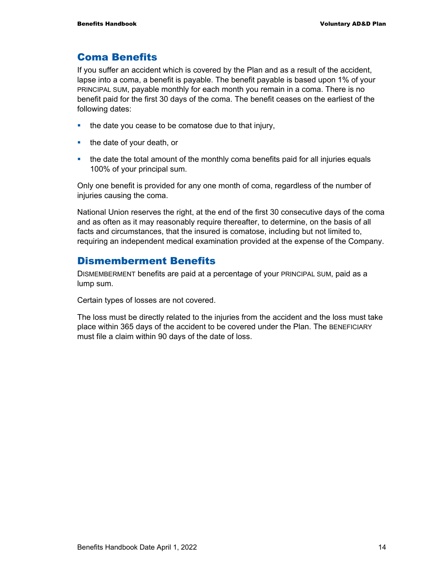### Coma Benefits

If you suffer an accident which is covered by the Plan and as a result of the accident, lapse into a coma, a benefit is payable. The benefit payable is based upon 1% of your PRINCIPAL SUM, payable monthly for each month you remain in a coma. There is no benefit paid for the first 30 days of the coma. The benefit ceases on the earliest of the following dates:

- the date you cease to be comatose due to that injury,
- $\blacksquare$  the date of your death, or
- the date the total amount of the monthly coma benefits paid for all injuries equals 100% of your principal sum.

Only one benefit is provided for any one month of coma, regardless of the number of injuries causing the coma.

National Union reserves the right, at the end of the first 30 consecutive days of the coma and as often as it may reasonably require thereafter, to determine, on the basis of all facts and circumstances, that the insured is comatose, including but not limited to, requiring an independent medical examination provided at the expense of the Company.

#### Dismemberment Benefits

DISMEMBERMENT benefits are paid at a percentage of your PRINCIPAL SUM, paid as a lump sum.

Certain types of losses are not covered.

The loss must be directly related to the injuries from the accident and the loss must take place within 365 days of the accident to be covered under the Plan. The BENEFICIARY must file a claim within 90 days of the date of loss.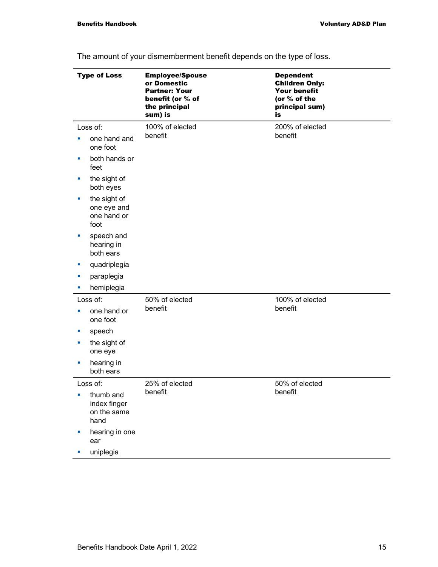|                             | <b>Type of Loss</b>                                | <b>Employee/Spouse</b><br>or Domestic<br><b>Partner: Your</b><br>benefit (or % of<br>the principal<br>sum) is | <b>Dependent</b><br><b>Children Only:</b><br><b>Your benefit</b><br>(or % of the<br>principal sum)<br>is |  |
|-----------------------------|----------------------------------------------------|---------------------------------------------------------------------------------------------------------------|----------------------------------------------------------------------------------------------------------|--|
|                             | Loss of:                                           | 100% of elected                                                                                               | 200% of elected                                                                                          |  |
| $\mathcal{L}_{\mathcal{A}}$ | one hand and<br>one foot                           | benefit                                                                                                       | benefit                                                                                                  |  |
| ш                           | both hands or<br>feet                              |                                                                                                               |                                                                                                          |  |
| ×                           | the sight of<br>both eyes                          |                                                                                                               |                                                                                                          |  |
| ×                           | the sight of<br>one eye and<br>one hand or<br>foot |                                                                                                               |                                                                                                          |  |
| ш                           | speech and<br>hearing in<br>both ears              |                                                                                                               |                                                                                                          |  |
| ш                           | quadriplegia                                       |                                                                                                               |                                                                                                          |  |
| ш                           | paraplegia                                         |                                                                                                               |                                                                                                          |  |
| ш                           | hemiplegia                                         |                                                                                                               |                                                                                                          |  |
|                             | Loss of:                                           | 50% of elected                                                                                                | 100% of elected                                                                                          |  |
| $\mathcal{L}_{\mathcal{A}}$ | one hand or<br>one foot                            | benefit                                                                                                       | benefit                                                                                                  |  |
| a.                          | speech                                             |                                                                                                               |                                                                                                          |  |
| ш                           | the sight of<br>one eye                            |                                                                                                               |                                                                                                          |  |
| ×                           | hearing in<br>both ears                            |                                                                                                               |                                                                                                          |  |
|                             | Loss of:                                           | 25% of elected                                                                                                | 50% of elected                                                                                           |  |
| ×                           | thumb and<br>index finger<br>on the same<br>hand   | benefit                                                                                                       | benefit                                                                                                  |  |
| $\mathcal{L}_{\mathcal{A}}$ | hearing in one<br>ear                              |                                                                                                               |                                                                                                          |  |
|                             | uniplegia                                          |                                                                                                               |                                                                                                          |  |

The amount of your dismemberment benefit depends on the type of loss.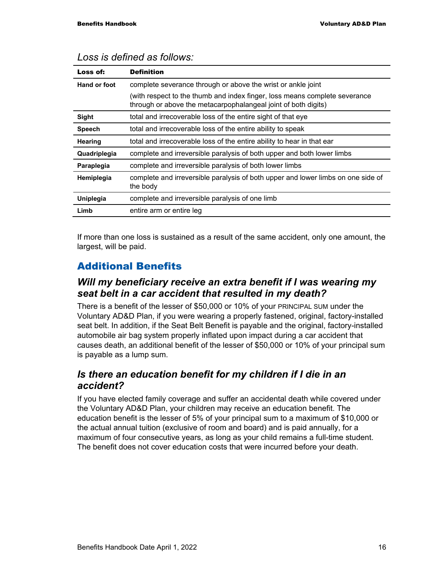| Loss of:            | <b>Definition</b>                                                                                                                            |
|---------------------|----------------------------------------------------------------------------------------------------------------------------------------------|
| <b>Hand or foot</b> | complete severance through or above the wrist or ankle joint                                                                                 |
|                     | (with respect to the thumb and index finger, loss means complete severance<br>through or above the metacarpophalangeal joint of both digits) |
| <b>Sight</b>        | total and irrecoverable loss of the entire sight of that eye                                                                                 |
| <b>Speech</b>       | total and irrecoverable loss of the entire ability to speak                                                                                  |
| <b>Hearing</b>      | total and irrecoverable loss of the entire ability to hear in that ear                                                                       |
| Quadriplegia        | complete and irreversible paralysis of both upper and both lower limbs                                                                       |
| Paraplegia          | complete and irreversible paralysis of both lower limbs                                                                                      |
| Hemiplegia          | complete and irreversible paralysis of both upper and lower limbs on one side of<br>the body                                                 |
| Uniplegia           | complete and irreversible paralysis of one limb                                                                                              |
| Limb                | entire arm or entire leg                                                                                                                     |

#### *Loss is defined as follows:*

If more than one loss is sustained as a result of the same accident, only one amount, the largest, will be paid.

# Additional Benefits

#### *Will my beneficiary receive an extra benefit if I was wearing my seat belt in a car accident that resulted in my death?*

There is a benefit of the lesser of \$50,000 or 10% of your PRINCIPAL SUM under the Voluntary AD&D Plan, if you were wearing a properly fastened, original, factory-installed seat belt. In addition, if the Seat Belt Benefit is payable and the original, factory-installed automobile air bag system properly inflated upon impact during a car accident that causes death, an additional benefit of the lesser of \$50,000 or 10% of your principal sum is payable as a lump sum.

### *Is there an education benefit for my children if I die in an accident?*

If you have elected family coverage and suffer an accidental death while covered under the Voluntary AD&D Plan, your children may receive an education benefit. The education benefit is the lesser of 5% of your principal sum to a maximum of \$10,000 or the actual annual tuition (exclusive of room and board) and is paid annually, for a maximum of four consecutive years, as long as your child remains a full-time student. The benefit does not cover education costs that were incurred before your death.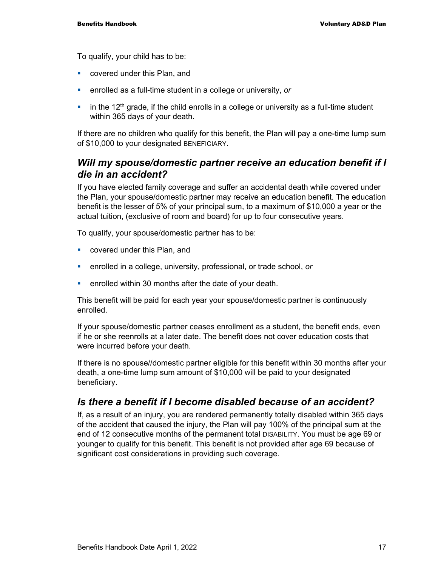To qualify, your child has to be:

- **E** covered under this Plan, and
- enrolled as a full-time student in a college or university, *or*
- $\blacksquare$  in the 12<sup>th</sup> grade, if the child enrolls in a college or university as a full-time student within 365 days of your death.

If there are no children who qualify for this benefit, the Plan will pay a one-time lump sum of \$10,000 to your designated BENEFICIARY.

#### *Will my spouse/domestic partner receive an education benefit if I die in an accident?*

If you have elected family coverage and suffer an accidental death while covered under the Plan, your spouse/domestic partner may receive an education benefit. The education benefit is the lesser of 5% of your principal sum, to a maximum of \$10,000 a year or the actual tuition, (exclusive of room and board) for up to four consecutive years.

To qualify, your spouse/domestic partner has to be:

- **E** covered under this Plan, and
- enrolled in a college, university, professional, or trade school, *or*
- **•** enrolled within 30 months after the date of your death.

This benefit will be paid for each year your spouse/domestic partner is continuously enrolled.

If your spouse/domestic partner ceases enrollment as a student, the benefit ends, even if he or she reenrolls at a later date. The benefit does not cover education costs that were incurred before your death.

If there is no spouse//domestic partner eligible for this benefit within 30 months after your death, a one-time lump sum amount of \$10,000 will be paid to your designated beneficiary.

#### *Is there a benefit if I become disabled because of an accident?*

If, as a result of an injury, you are rendered permanently totally disabled within 365 days of the accident that caused the injury, the Plan will pay 100% of the principal sum at the end of 12 consecutive months of the permanent total DISABILITY. You must be age 69 or younger to qualify for this benefit. This benefit is not provided after age 69 because of significant cost considerations in providing such coverage.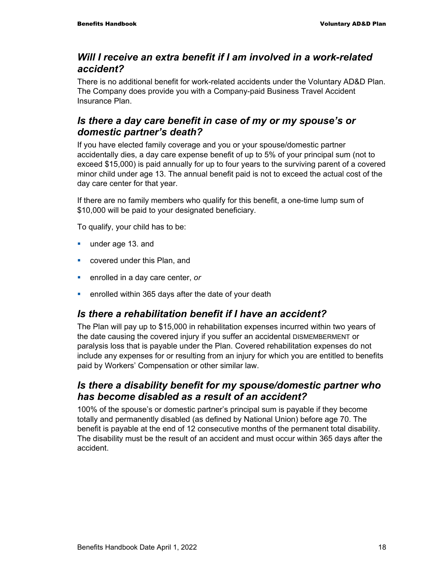#### *Will I receive an extra benefit if I am involved in a work-related accident?*

There is no additional benefit for work-related accidents under the Voluntary AD&D Plan. The Company does provide you with a Company-paid Business Travel Accident Insurance Plan.

### *Is there a day care benefit in case of my or my spouse's or domestic partner's death?*

If you have elected family coverage and you or your spouse/domestic partner accidentally dies, a day care expense benefit of up to 5% of your principal sum (not to exceed \$15,000) is paid annually for up to four years to the surviving parent of a covered minor child under age 13. The annual benefit paid is not to exceed the actual cost of the day care center for that year.

If there are no family members who qualify for this benefit, a one-time lump sum of \$10,000 will be paid to your designated beneficiary.

To qualify, your child has to be:

- under age 13. and
- **E** covered under this Plan, and
- enrolled in a day care center, *or*
- **EXECT** enrolled within 365 days after the date of your death

# *Is there a rehabilitation benefit if I have an accident?*

The Plan will pay up to \$15,000 in rehabilitation expenses incurred within two years of the date causing the covered injury if you suffer an accidental DISMEMBERMENT or paralysis loss that is payable under the Plan. Covered rehabilitation expenses do not include any expenses for or resulting from an injury for which you are entitled to benefits paid by Workers' Compensation or other similar law.

### *Is there a disability benefit for my spouse/domestic partner who has become disabled as a result of an accident?*

100% of the spouse's or domestic partner's principal sum is payable if they become totally and permanently disabled (as defined by National Union) before age 70. The benefit is payable at the end of 12 consecutive months of the permanent total disability. The disability must be the result of an accident and must occur within 365 days after the accident.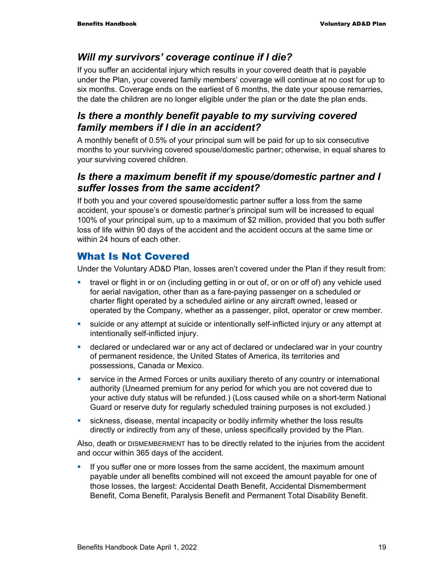#### *Will my survivors' coverage continue if I die?*

If you suffer an accidental injury which results in your covered death that is payable under the Plan, your covered family members' coverage will continue at no cost for up to six months. Coverage ends on the earliest of 6 months, the date your spouse remarries, the date the children are no longer eligible under the plan or the date the plan ends.

### *Is there a monthly benefit payable to my surviving covered family members if I die in an accident?*

A monthly benefit of 0.5% of your principal sum will be paid for up to six consecutive months to your surviving covered spouse/domestic partner; otherwise, in equal shares to your surviving covered children.

#### *Is there a maximum benefit if my spouse/domestic partner and I suffer losses from the same accident?*

If both you and your covered spouse/domestic partner suffer a loss from the same accident, your spouse's or domestic partner's principal sum will be increased to equal 100% of your principal sum, up to a maximum of \$2 million, provided that you both suffer loss of life within 90 days of the accident and the accident occurs at the same time or within 24 hours of each other.

### What Is Not Covered

Under the Voluntary AD&D Plan, losses aren't covered under the Plan if they result from:

- travel or flight in or on (including getting in or out of, or on or off of) any vehicle used for aerial navigation, other than as a fare-paying passenger on a scheduled or charter flight operated by a scheduled airline or any aircraft owned, leased or operated by the Company, whether as a passenger, pilot, operator or crew member.
- suicide or any attempt at suicide or intentionally self-inflicted injury or any attempt at intentionally self-inflicted injury.
- declared or undeclared war or any act of declared or undeclared war in your country of permanent residence, the United States of America, its territories and possessions, Canada or Mexico.
- service in the Armed Forces or units auxiliary thereto of any country or international authority (Unearned premium for any period for which you are not covered due to your active duty status will be refunded.) (Loss caused while on a short-term National Guard or reserve duty for regularly scheduled training purposes is not excluded.)
- sickness, disease, mental incapacity or bodily infirmity whether the loss results directly or indirectly from any of these, unless specifically provided by the Plan.

Also, death or DISMEMBERMENT has to be directly related to the injuries from the accident and occur within 365 days of the accident.

If you suffer one or more losses from the same accident, the maximum amount payable under all benefits combined will not exceed the amount payable for one of those losses, the largest: Accidental Death Benefit, Accidental Dismemberment Benefit, Coma Benefit, Paralysis Benefit and Permanent Total Disability Benefit.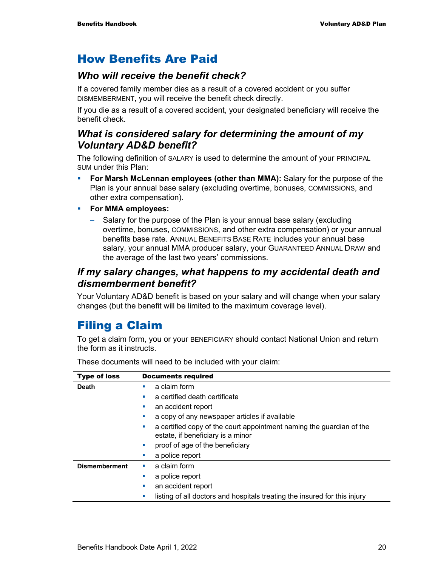# How Benefits Are Paid

### *Who will receive the benefit check?*

If a covered family member dies as a result of a covered accident or you suffer DISMEMBERMENT, you will receive the benefit check directly.

If you die as a result of a covered accident, your designated beneficiary will receive the benefit check.

#### *What is considered salary for determining the amount of my Voluntary AD&D benefit?*

The following definition of SALARY is used to determine the amount of your PRINCIPAL SUM under this Plan:

- **For Marsh McLennan employees (other than MMA):** Salary for the purpose of the Plan is your annual base salary (excluding overtime, bonuses, COMMISSIONS, and other extra compensation).
- **For MMA employees:** 
	- Salary for the purpose of the Plan is your annual base salary (excluding overtime, bonuses, COMMISSIONS, and other extra compensation) or your annual benefits base rate. ANNUAL BENEFITS BASE RATE includes your annual base salary, your annual MMA producer salary, your GUARANTEED ANNUAL DRAW and the average of the last two years' commissions.

#### *If my salary changes, what happens to my accidental death and dismemberment benefit?*

Your Voluntary AD&D benefit is based on your salary and will change when your salary changes (but the benefit will be limited to the maximum coverage level).

# Filing a Claim

To get a claim form, you or your BENEFICIARY should contact National Union and return the form as it instructs.

| <b>Type of loss</b>  | <b>Documents required</b>                                                                                      |
|----------------------|----------------------------------------------------------------------------------------------------------------|
| <b>Death</b>         | a claim form<br>ш                                                                                              |
|                      | a certified death certificate<br>п                                                                             |
|                      | an accident report<br>ш                                                                                        |
|                      | a copy of any newspaper articles if available<br>ш                                                             |
|                      | a certified copy of the court appointment naming the guardian of the<br>ш<br>estate, if beneficiary is a minor |
|                      | proof of age of the beneficiary<br>×                                                                           |
|                      | a police report<br>п                                                                                           |
| <b>Dismemberment</b> | a claim form<br>ш                                                                                              |
|                      | a police report<br>п                                                                                           |
|                      | an accident report<br>п                                                                                        |
|                      | listing of all doctors and hospitals treating the insured for this injury<br>ш                                 |
|                      |                                                                                                                |

These documents will need to be included with your claim: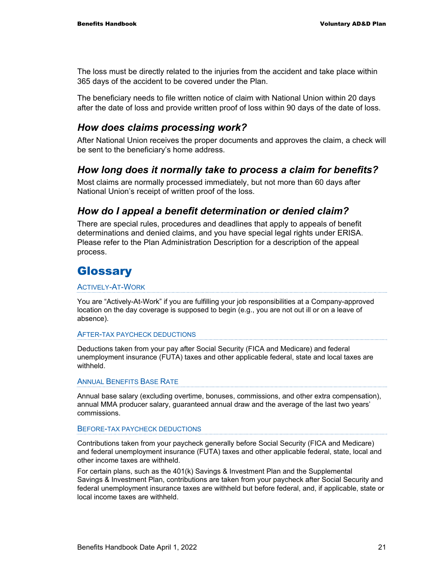The loss must be directly related to the injuries from the accident and take place within 365 days of the accident to be covered under the Plan.

The beneficiary needs to file written notice of claim with National Union within 20 days after the date of loss and provide written proof of loss within 90 days of the date of loss.

#### *How does claims processing work?*

After National Union receives the proper documents and approves the claim, a check will be sent to the beneficiary's home address.

#### *How long does it normally take to process a claim for benefits?*

Most claims are normally processed immediately, but not more than 60 days after National Union's receipt of written proof of the loss.

#### *How do I appeal a benefit determination or denied claim?*

There are special rules, procedures and deadlines that apply to appeals of benefit determinations and denied claims, and you have special legal rights under ERISA. Please refer to the Plan Administration Description for a description of the appeal process.

# **Glossary**

#### ACTIVELY-AT-WORK

You are "Actively-At-Work" if you are fulfilling your job responsibilities at a Company-approved location on the day coverage is supposed to begin (e.g., you are not out ill or on a leave of absence).

#### AFTER-TAX PAYCHECK DEDUCTIONS

Deductions taken from your pay after Social Security (FICA and Medicare) and federal unemployment insurance (FUTA) taxes and other applicable federal, state and local taxes are withheld.

#### ANNUAL BENEFITS BASE RATE

Annual base salary (excluding overtime, bonuses, commissions, and other extra compensation), annual MMA producer salary, guaranteed annual draw and the average of the last two years' commissions.

#### BEFORE-TAX PAYCHECK DEDUCTIONS

Contributions taken from your paycheck generally before Social Security (FICA and Medicare) and federal unemployment insurance (FUTA) taxes and other applicable federal, state, local and other income taxes are withheld.

For certain plans, such as the 401(k) Savings & Investment Plan and the Supplemental Savings & Investment Plan, contributions are taken from your paycheck after Social Security and federal unemployment insurance taxes are withheld but before federal, and, if applicable, state or local income taxes are withheld.